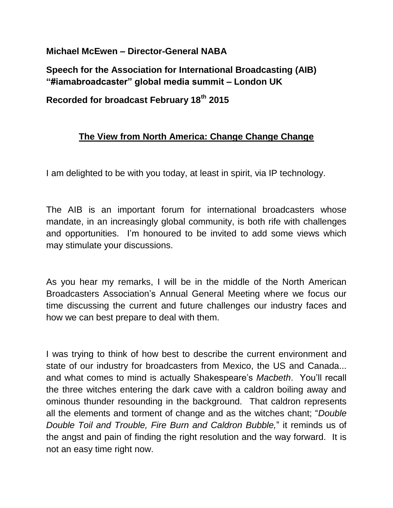**Michael McEwen – Director-General NABA**

**Speech for the Association for International Broadcasting (AIB) "#iamabroadcaster" global media summit – London UK**

**Recorded for broadcast February 18th 2015**

## **The View from North America: Change Change Change**

I am delighted to be with you today, at least in spirit, via IP technology.

The AIB is an important forum for international broadcasters whose mandate, in an increasingly global community, is both rife with challenges and opportunities. I'm honoured to be invited to add some views which may stimulate your discussions.

As you hear my remarks, I will be in the middle of the North American Broadcasters Association's Annual General Meeting where we focus our time discussing the current and future challenges our industry faces and how we can best prepare to deal with them.

I was trying to think of how best to describe the current environment and state of our industry for broadcasters from Mexico, the US and Canada... and what comes to mind is actually Shakespeare's *Macbeth*. You'll recall the three witches entering the dark cave with a caldron boiling away and ominous thunder resounding in the background. That caldron represents all the elements and torment of change and as the witches chant; "*Double Double Toil and Trouble, Fire Burn and Caldron Bubble,*" it reminds us of the angst and pain of finding the right resolution and the way forward. It is not an easy time right now.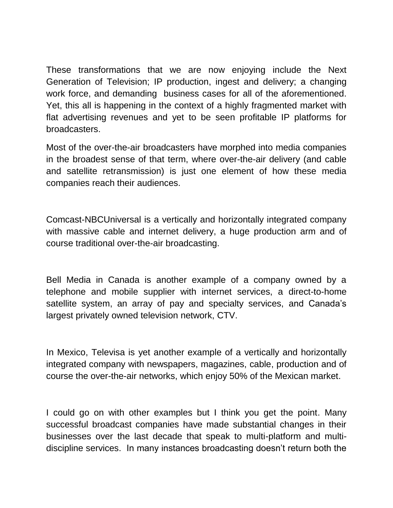These transformations that we are now enjoying include the Next Generation of Television; IP production, ingest and delivery; a changing work force, and demanding business cases for all of the aforementioned. Yet, this all is happening in the context of a highly fragmented market with flat advertising revenues and yet to be seen profitable IP platforms for broadcasters.

Most of the over-the-air broadcasters have morphed into media companies in the broadest sense of that term, where over-the-air delivery (and cable and satellite retransmission) is just one element of how these media companies reach their audiences.

Comcast-NBCUniversal is a vertically and horizontally integrated company with massive cable and internet delivery, a huge production arm and of course traditional over-the-air broadcasting.

Bell Media in Canada is another example of a company owned by a telephone and mobile supplier with internet services, a direct-to-home satellite system, an array of pay and specialty services, and Canada's largest privately owned television network, CTV.

In Mexico, Televisa is yet another example of a vertically and horizontally integrated company with newspapers, magazines, cable, production and of course the over-the-air networks, which enjoy 50% of the Mexican market.

I could go on with other examples but I think you get the point. Many successful broadcast companies have made substantial changes in their businesses over the last decade that speak to multi-platform and multidiscipline services. In many instances broadcasting doesn't return both the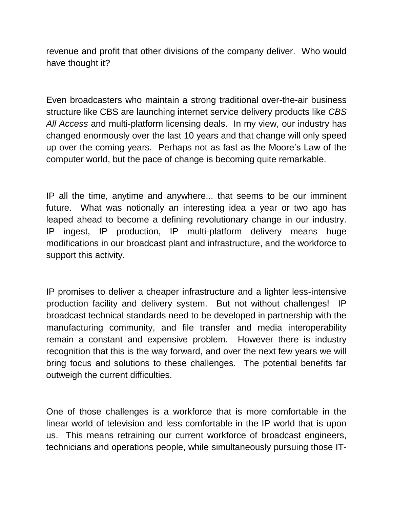revenue and profit that other divisions of the company deliver. Who would have thought it?

Even broadcasters who maintain a strong traditional over-the-air business structure like CBS are launching internet service delivery products like *CBS All Access* and multi-platform licensing deals. In my view, our industry has changed enormously over the last 10 years and that change will only speed up over the coming years. Perhaps not as fast as the Moore's Law of the computer world, but the pace of change is becoming quite remarkable.

IP all the time, anytime and anywhere... that seems to be our imminent future. What was notionally an interesting idea a year or two ago has leaped ahead to become a defining revolutionary change in our industry. IP ingest, IP production, IP multi-platform delivery means huge modifications in our broadcast plant and infrastructure, and the workforce to support this activity.

IP promises to deliver a cheaper infrastructure and a lighter less-intensive production facility and delivery system. But not without challenges! IP broadcast technical standards need to be developed in partnership with the manufacturing community, and file transfer and media interoperability remain a constant and expensive problem. However there is industry recognition that this is the way forward, and over the next few years we will bring focus and solutions to these challenges. The potential benefits far outweigh the current difficulties.

One of those challenges is a workforce that is more comfortable in the linear world of television and less comfortable in the IP world that is upon us. This means retraining our current workforce of broadcast engineers, technicians and operations people, while simultaneously pursuing those IT-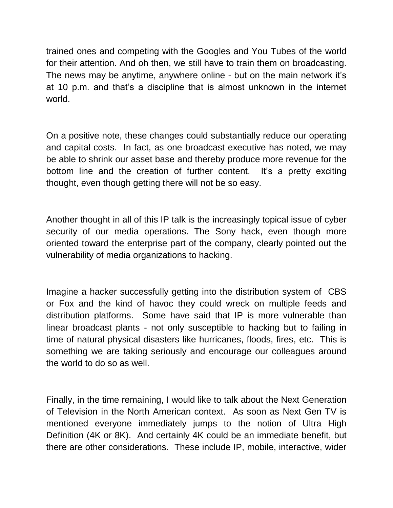trained ones and competing with the Googles and You Tubes of the world for their attention. And oh then, we still have to train them on broadcasting. The news may be anytime, anywhere online - but on the main network it's at 10 p.m. and that's a discipline that is almost unknown in the internet world.

On a positive note, these changes could substantially reduce our operating and capital costs. In fact, as one broadcast executive has noted, we may be able to shrink our asset base and thereby produce more revenue for the bottom line and the creation of further content. It's a pretty exciting thought, even though getting there will not be so easy.

Another thought in all of this IP talk is the increasingly topical issue of cyber security of our media operations. The Sony hack, even though more oriented toward the enterprise part of the company, clearly pointed out the vulnerability of media organizations to hacking.

Imagine a hacker successfully getting into the distribution system of CBS or Fox and the kind of havoc they could wreck on multiple feeds and distribution platforms. Some have said that IP is more vulnerable than linear broadcast plants - not only susceptible to hacking but to failing in time of natural physical disasters like hurricanes, floods, fires, etc. This is something we are taking seriously and encourage our colleagues around the world to do so as well.

Finally, in the time remaining, I would like to talk about the Next Generation of Television in the North American context. As soon as Next Gen TV is mentioned everyone immediately jumps to the notion of Ultra High Definition (4K or 8K). And certainly 4K could be an immediate benefit, but there are other considerations. These include IP, mobile, interactive, wider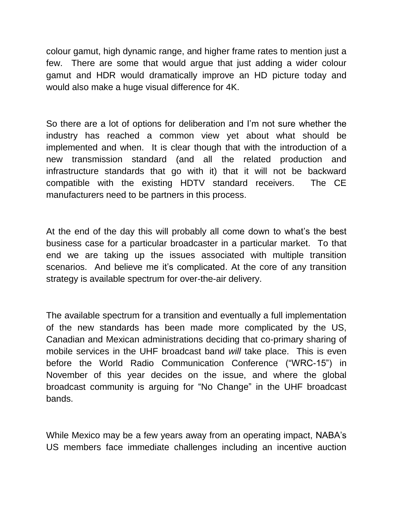colour gamut, high dynamic range, and higher frame rates to mention just a few. There are some that would argue that just adding a wider colour gamut and HDR would dramatically improve an HD picture today and would also make a huge visual difference for 4K.

So there are a lot of options for deliberation and I'm not sure whether the industry has reached a common view yet about what should be implemented and when. It is clear though that with the introduction of a new transmission standard (and all the related production and infrastructure standards that go with it) that it will not be backward compatible with the existing HDTV standard receivers. The CE manufacturers need to be partners in this process.

At the end of the day this will probably all come down to what's the best business case for a particular broadcaster in a particular market. To that end we are taking up the issues associated with multiple transition scenarios. And believe me it's complicated. At the core of any transition strategy is available spectrum for over-the-air delivery.

The available spectrum for a transition and eventually a full implementation of the new standards has been made more complicated by the US, Canadian and Mexican administrations deciding that co-primary sharing of mobile services in the UHF broadcast band *will* take place. This is even before the World Radio Communication Conference ("WRC-15") in November of this year decides on the issue, and where the global broadcast community is arguing for "No Change" in the UHF broadcast bands.

While Mexico may be a few years away from an operating impact, NABA's US members face immediate challenges including an incentive auction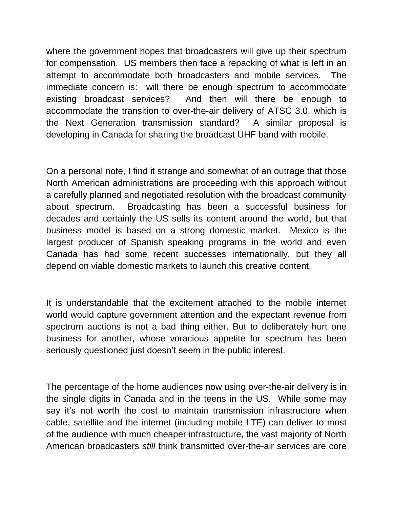where the government hopes that broadcasters will give up their spectrum for compensation. US members then face a repacking of what is left in an attempt to accommodate both broadcasters and mobile services. The immediate concern is: will there be enough spectrum to accommodate existing broadcast services? And then will there be enough to accommodate the transition to over-the-air delivery of ATSC 3.0, which is the Next Generation transmission standard? A similar proposal is developing in Canada for sharing the broadcast UHF band with mobile.

On a personal note, I find it strange and somewhat of an outrage that those North American administrations are proceeding with this approach without a carefully planned and negotiated resolution with the broadcast community about spectrum. Broadcasting has been a successful business for decades and certainly the US sells its content around the world, but that business model is based on a strong domestic market. Mexico is the largest producer of Spanish speaking programs in the world and even Canada has had some recent successes internationally, but they all depend on viable domestic markets to launch this creative content.

It is understandable that the excitement attached to the mobile internet world would capture government attention and the expectant revenue from spectrum auctions is not a bad thing either. But to deliberately hurt one business for another, whose voracious appetite for spectrum has been seriously questioned just doesn't seem in the public interest.

The percentage of the home audiences now using over-the-air delivery is in the single digits in Canada and in the teens in the US. While some may say it's not worth the cost to maintain transmission infrastructure when cable, satellite and the internet (including mobile LTE) can deliver to most of the audience with much cheaper infrastructure, the vast majority of North American broadcasters *still* think transmitted over-the-air services are core